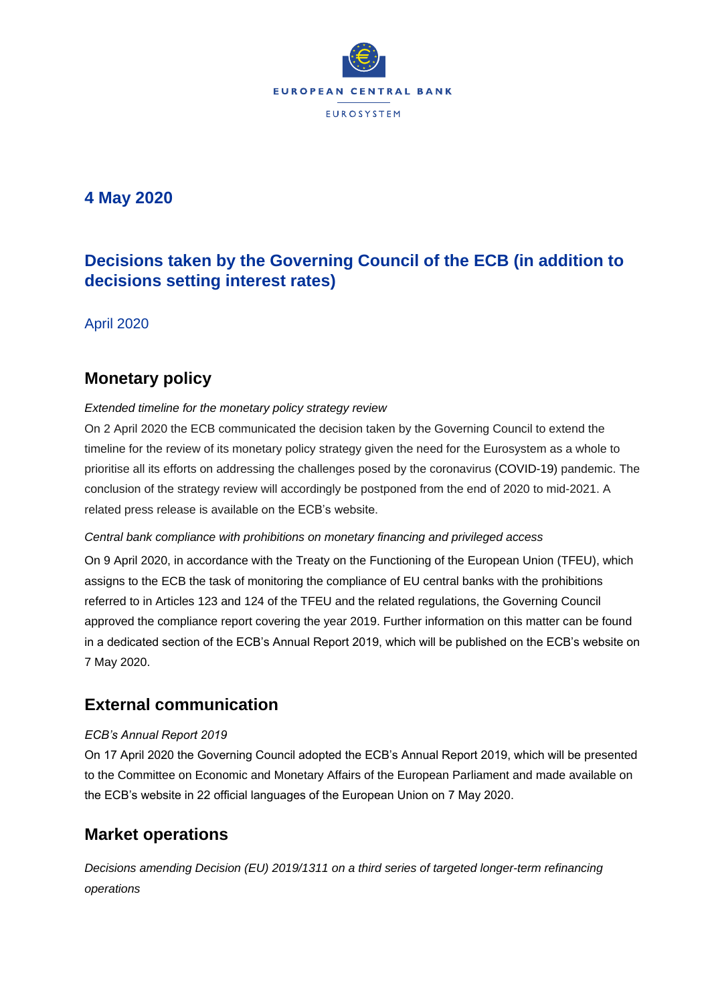

# **4 May 2020**

# **Decisions taken by the Governing Council of the ECB (in addition to decisions setting interest rates)**

April 2020

# **Monetary policy**

### *Extended timeline for the monetary policy strategy review*

On 2 April 2020 the ECB communicated the decision taken by the Governing Council to extend the timeline for the review of its monetary policy strategy given the need for the Eurosystem as a whole to prioritise all its efforts on addressing the challenges posed by the coronavirus (COVID-19) pandemic. The conclusion of the strategy review will accordingly be postponed from the end of 2020 to mid-2021. A related press release is available on the ECB's website.

### *Central bank compliance with prohibitions on monetary financing and privileged access*

On 9 April 2020, in accordance with the Treaty on the Functioning of the European Union (TFEU), which assigns to the ECB the task of monitoring the compliance of EU central banks with the prohibitions referred to in Articles 123 and 124 of the TFEU and the related regulations, the Governing Council approved the compliance report covering the year 2019. Further information on this matter can be found in a dedicated section of the ECB's Annual Report 2019, which will be published on the ECB's website on 7 May 2020.

## **External communication**

### *ECB's Annual Report 2019*

On 17 April 2020 the Governing Council adopted the ECB's Annual Report 2019, which will be presented to the Committee on Economic and Monetary Affairs of the European Parliament and made available on the ECB's website in 22 official languages of the European Union on 7 May 2020.

# **Market operations**

*Decisions amending Decision (EU) 2019/1311 on a third series of targeted longer-term refinancing operations*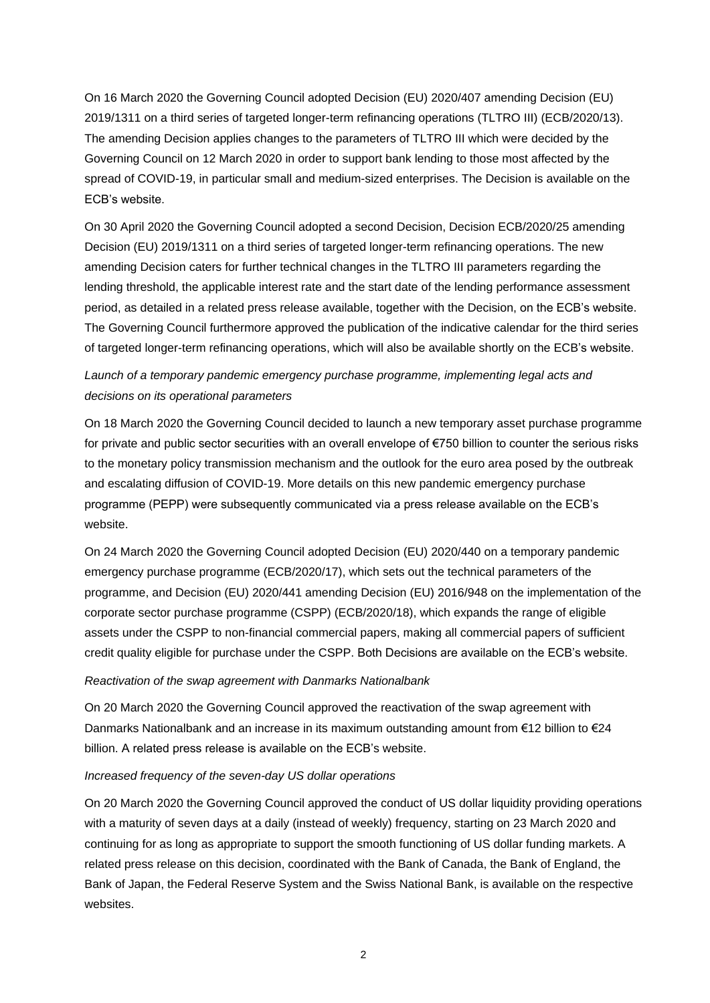On 16 March 2020 the Governing Council adopted Decision (EU) 2020/407 amending Decision (EU) 2019/1311 on a third series of targeted longer-term refinancing operations (TLTRO III) (ECB/2020/13). The amending Decision applies changes to the parameters of TLTRO III which were decided by the Governing Council on 12 March 2020 in order to support bank lending to those most affected by the spread of COVID-19, in particular small and medium-sized enterprises. The Decision is available on the ECB's website.

On 30 April 2020 the Governing Council adopted a second Decision, Decision ECB/2020/25 amending Decision (EU) 2019/1311 on a third series of targeted longer-term refinancing operations. The new amending Decision caters for further technical changes in the TLTRO III parameters regarding the lending threshold, the applicable interest rate and the start date of the lending performance assessment period, as detailed in a related press release available, together with the Decision, on the ECB's website. The Governing Council furthermore approved the publication of the indicative calendar for the third series of targeted longer-term refinancing operations, which will also be available shortly on the ECB's website.

### *Launch of a temporary pandemic emergency purchase programme, implementing legal acts and decisions on its operational parameters*

On 18 March 2020 the Governing Council decided to launch a new temporary asset purchase programme for private and public sector securities with an overall envelope of €750 billion to counter the serious risks to the monetary policy transmission mechanism and the outlook for the euro area posed by the outbreak and escalating diffusion of COVID-19. More details on this new pandemic emergency purchase programme (PEPP) were subsequently communicated via a press release available on the ECB's website.

On 24 March 2020 the Governing Council adopted Decision (EU) 2020/440 on a temporary pandemic emergency purchase programme (ECB/2020/17), which sets out the technical parameters of the programme, and Decision (EU) 2020/441 amending Decision (EU) 2016/948 on the implementation of the corporate sector purchase programme (CSPP) (ECB/2020/18), which expands the range of eligible assets under the CSPP to non-financial commercial papers, making all commercial papers of sufficient credit quality eligible for purchase under the CSPP. Both Decisions are available on the ECB's website.

#### *Reactivation of the swap agreement with Danmarks Nationalbank*

On 20 March 2020 the Governing Council approved the reactivation of the swap agreement with Danmarks Nationalbank and an increase in its maximum outstanding amount from €12 billion to €24 billion. A related press release is available on the ECB's website.

#### *Increased frequency of the seven-day US dollar operations*

On 20 March 2020 the Governing Council approved the conduct of US dollar liquidity providing operations with a maturity of seven days at a daily (instead of weekly) frequency, starting on 23 March 2020 and continuing for as long as appropriate to support the smooth functioning of US dollar funding markets. A related press release on this decision, coordinated with the Bank of Canada, the Bank of England, the Bank of Japan, the Federal Reserve System and the Swiss National Bank, is available on the respective websites.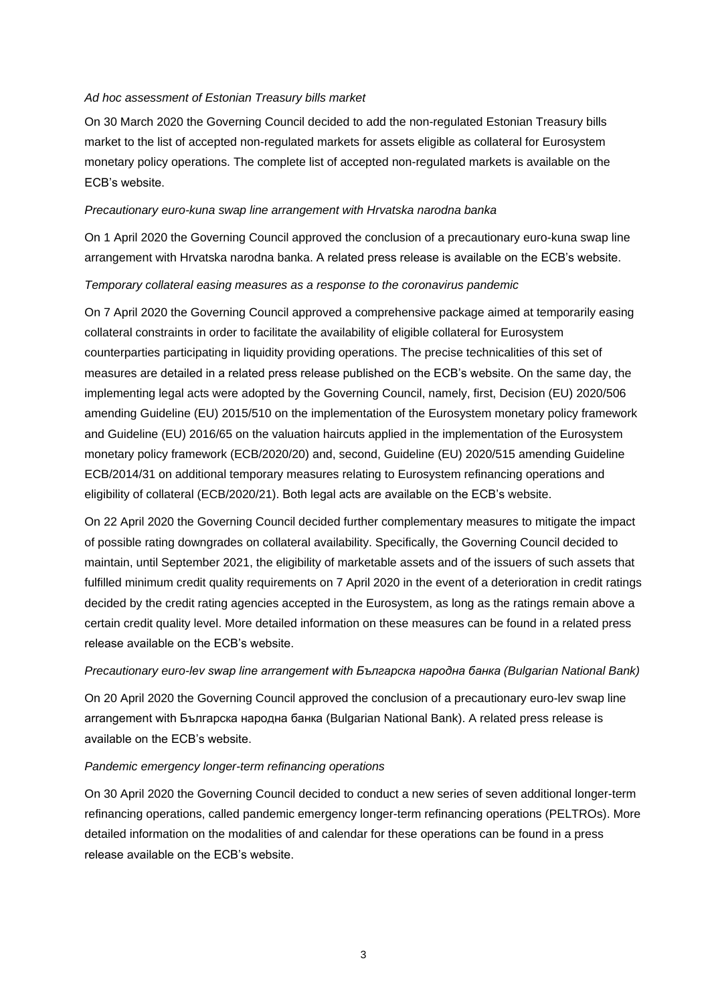#### *Ad hoc assessment of Estonian Treasury bills market*

On 30 March 2020 the Governing Council decided to add the non-regulated Estonian Treasury bills market to the list of accepted non-regulated markets for assets eligible as collateral for Eurosystem monetary policy operations. The complete list of accepted non-regulated markets is available on the ECB's website.

#### *Precautionary euro-kuna swap line arrangement with Hrvatska narodna banka*

On 1 April 2020 the Governing Council approved the conclusion of a precautionary euro-kuna swap line arrangement with Hrvatska narodna banka. A related press release is available on the ECB's website.

#### *Temporary collateral easing measures as a response to the coronavirus pandemic*

On 7 April 2020 the Governing Council approved a comprehensive package aimed at temporarily easing collateral constraints in order to facilitate the availability of eligible collateral for Eurosystem counterparties participating in liquidity providing operations. The precise technicalities of this set of measures are detailed in a related press release published on the ECB's website. On the same day, the implementing legal acts were adopted by the Governing Council, namely, first, Decision (EU) 2020/506 amending Guideline (EU) 2015/510 on the implementation of the Eurosystem monetary policy framework and Guideline (EU) 2016/65 on the valuation haircuts applied in the implementation of the Eurosystem monetary policy framework (ECB/2020/20) and, second, Guideline (EU) 2020/515 amending Guideline ECB/2014/31 on additional temporary measures relating to Eurosystem refinancing operations and eligibility of collateral (ECB/2020/21). Both legal acts are available on the ECB's website.

On 22 April 2020 the Governing Council decided further complementary measures to mitigate the impact of possible rating downgrades on collateral availability. Specifically, the Governing Council decided to maintain, until September 2021, the eligibility of marketable assets and of the issuers of such assets that fulfilled minimum credit quality requirements on 7 April 2020 in the event of a deterioration in credit ratings decided by the credit rating agencies accepted in the Eurosystem, as long as the ratings remain above a certain credit quality level. More detailed information on these measures can be found in a related press release available on the ECB's website.

#### *Precautionary euro-lev swap line arrangement with Българска народна банка (Bulgarian National Bank)*

On 20 April 2020 the Governing Council approved the conclusion of a precautionary euro-lev swap line arrangement with Българска народна банка (Bulgarian National Bank). A related press release is available on the ECB's website.

#### *Pandemic emergency longer-term refinancing operations*

On 30 April 2020 the Governing Council decided to conduct a new series of seven additional longer-term refinancing operations, called pandemic emergency longer-term refinancing operations (PELTROs). More detailed information on the modalities of and calendar for these operations can be found in a press release available on the ECB's website.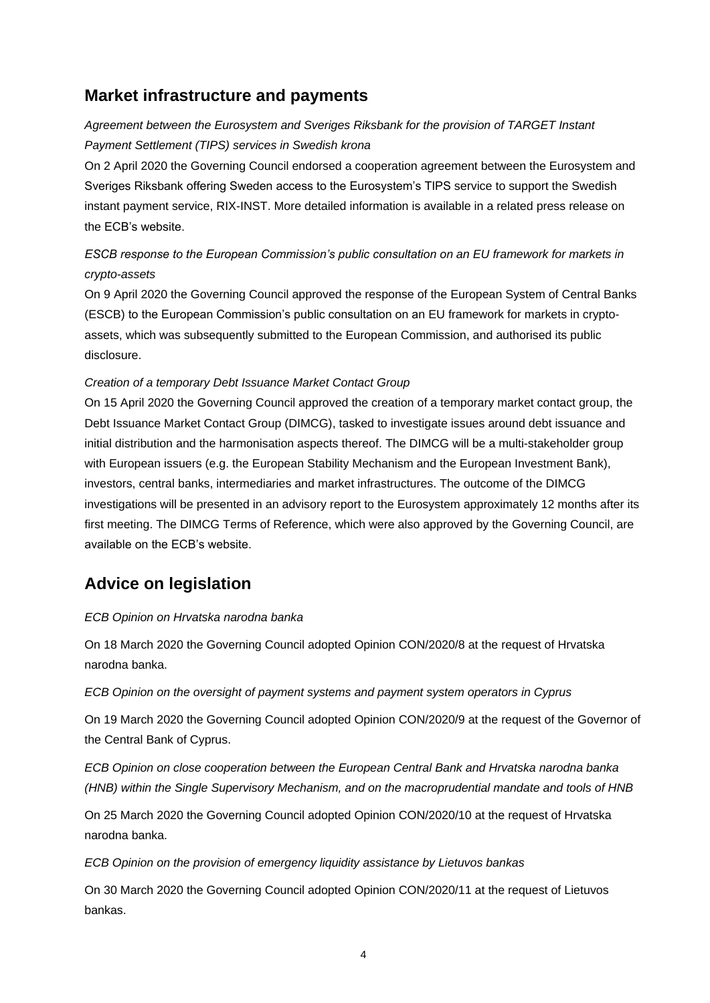## **Market infrastructure and payments**

## *Agreement between the Eurosystem and Sveriges Riksbank for the provision of TARGET Instant Payment Settlement (TIPS) services in Swedish krona*

On 2 April 2020 the Governing Council endorsed a cooperation agreement between the Eurosystem and Sveriges Riksbank offering Sweden access to the Eurosystem's TIPS service to support the Swedish instant payment service, RIX-INST. More detailed information is available in a related press release on the ECB's website.

## *ESCB response to the European Commission's public consultation on an EU framework for markets in crypto-assets*

On 9 April 2020 the Governing Council approved the response of the European System of Central Banks (ESCB) to the European Commission's public consultation on an EU framework for markets in cryptoassets, which was subsequently submitted to the European Commission, and authorised its public disclosure.

#### *Creation of a temporary Debt Issuance Market Contact Group*

On 15 April 2020 the Governing Council approved the creation of a temporary market contact group, the Debt Issuance Market Contact Group (DIMCG), tasked to investigate issues around debt issuance and initial distribution and the harmonisation aspects thereof. The DIMCG will be a multi-stakeholder group with European issuers (e.g. the European Stability Mechanism and the European Investment Bank), investors, central banks, intermediaries and market infrastructures. The outcome of the DIMCG investigations will be presented in an advisory report to the Eurosystem approximately 12 months after its first meeting. The DIMCG Terms of Reference, which were also approved by the Governing Council, are available on the ECB's website.

# **Advice on legislation**

### *ECB Opinion on Hrvatska narodna banka*

On 18 March 2020 the Governing Council adopted Opinion CON/2020/8 at the request of Hrvatska narodna banka.

*ECB Opinion on the oversight of payment systems and payment system operators in Cyprus* 

On 19 March 2020 the Governing Council adopted Opinion CON/2020/9 at the request of the Governor of the Central Bank of Cyprus.

*ECB Opinion on close cooperation between the European Central Bank and Hrvatska narodna banka (HNB) within the Single Supervisory Mechanism, and on the macroprudential mandate and tools of HNB* 

On 25 March 2020 the Governing Council adopted Opinion CON/2020/10 at the request of Hrvatska narodna banka.

*ECB Opinion on the provision of emergency liquidity assistance by Lietuvos bankas*

On 30 March 2020 the Governing Council adopted Opinion CON/2020/11 at the request of Lietuvos bankas.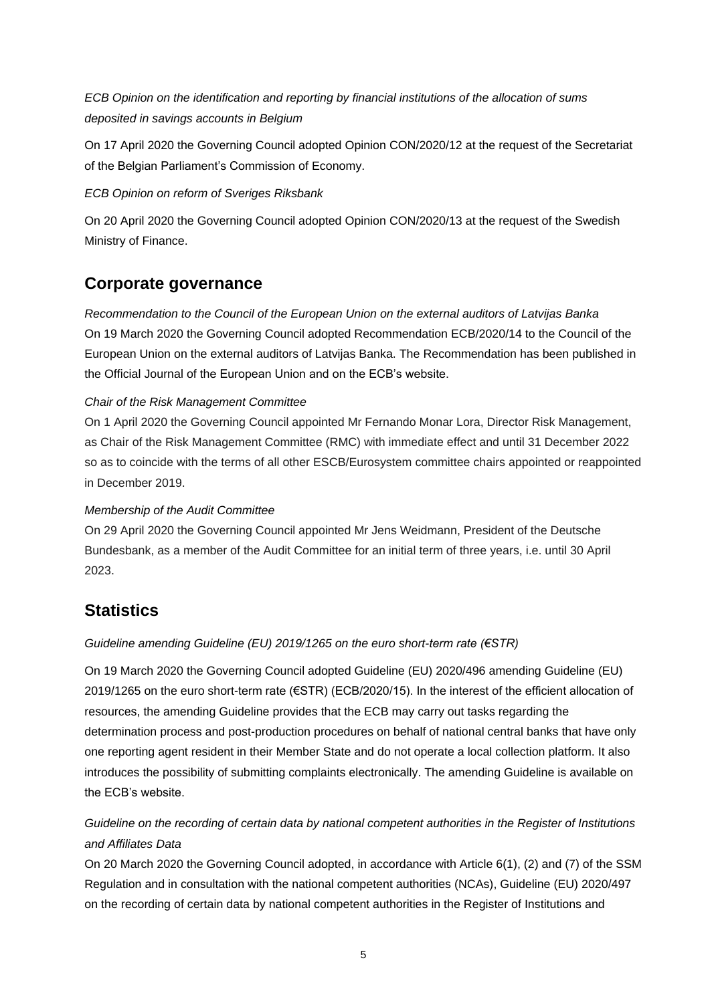*ECB Opinion on the identification and reporting by financial institutions of the allocation of sums deposited in savings accounts in Belgium*

On 17 April 2020 the Governing Council adopted Opinion CON/2020/12 at the request of the Secretariat of the Belgian Parliament's Commission of Economy.

#### *ECB Opinion on reform of Sveriges Riksbank*

On 20 April 2020 the Governing Council adopted Opinion CON/2020/13 at the request of the Swedish Ministry of Finance.

## **Corporate governance**

*Recommendation to the Council of the European Union on the external auditors of Latvijas Banka* On 19 March 2020 the Governing Council adopted Recommendation ECB/2020/14 to the Council of the European Union on the external auditors of Latvijas Banka. The Recommendation has been published in the Official Journal of the European Union and on the ECB's website.

### *Chair of the Risk Management Committee*

On 1 April 2020 the Governing Council appointed Mr Fernando Monar Lora, Director Risk Management, as Chair of the Risk Management Committee (RMC) with immediate effect and until 31 December 2022 so as to coincide with the terms of all other ESCB/Eurosystem committee chairs appointed or reappointed in December 2019.

### *Membership of the Audit Committee*

On 29 April 2020 the Governing Council appointed Mr Jens Weidmann, President of the Deutsche Bundesbank, as a member of the Audit Committee for an initial term of three years, i.e. until 30 April 2023.

# **Statistics**

### *Guideline amending Guideline (EU) 2019/1265 on the euro short-term rate (€STR)*

On 19 March 2020 the Governing Council adopted Guideline (EU) 2020/496 amending Guideline (EU) 2019/1265 on the euro short-term rate (€STR) (ECB/2020/15). In the interest of the efficient allocation of resources, the amending Guideline provides that the ECB may carry out tasks regarding the determination process and post-production procedures on behalf of national central banks that have only one reporting agent resident in their Member State and do not operate a local collection platform. It also introduces the possibility of submitting complaints electronically. The amending Guideline is available on the ECB's website.

### *Guideline on the recording of certain data by national competent authorities in the Register of Institutions and Affiliates Data*

On 20 March 2020 the Governing Council adopted, in accordance with Article 6(1), (2) and (7) of the SSM Regulation and in consultation with the national competent authorities (NCAs), Guideline (EU) 2020/497 on the recording of certain data by national competent authorities in the Register of Institutions and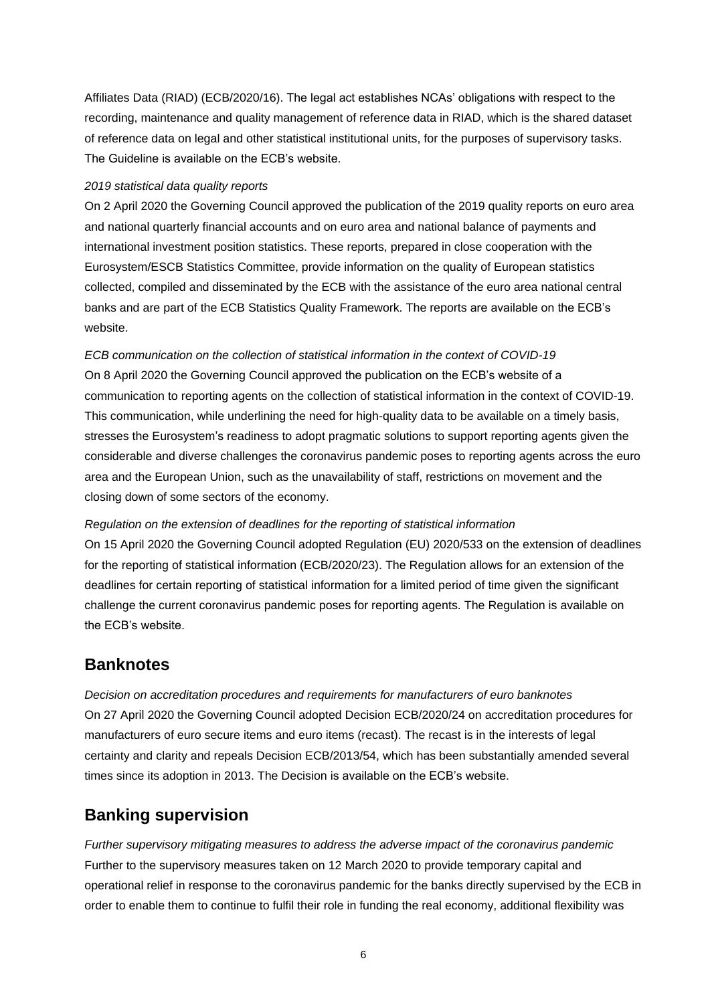Affiliates Data (RIAD) (ECB/2020/16). The legal act establishes NCAs' obligations with respect to the recording, maintenance and quality management of reference data in RIAD, which is the shared dataset of reference data on legal and other statistical institutional units, for the purposes of supervisory tasks. The Guideline is available on the ECB's website.

#### *2019 statistical data quality reports*

On 2 April 2020 the Governing Council approved the publication of the 2019 quality reports on euro area and national quarterly financial accounts and on euro area and national balance of payments and international investment position statistics. These reports, prepared in close cooperation with the Eurosystem/ESCB Statistics Committee, provide information on the quality of European statistics collected, compiled and disseminated by the ECB with the assistance of the euro area national central banks and are part of the ECB Statistics Quality Framework. The reports are available on the ECB's website.

*ECB communication on the collection of statistical information in the context of COVID-19* On 8 April 2020 the Governing Council approved the publication on the ECB's website of a communication to reporting agents on the collection of statistical information in the context of COVID-19. This communication, while underlining the need for high-quality data to be available on a timely basis, stresses the Eurosystem's readiness to adopt pragmatic solutions to support reporting agents given the considerable and diverse challenges the coronavirus pandemic poses to reporting agents across the euro area and the European Union, such as the unavailability of staff, restrictions on movement and the closing down of some sectors of the economy.

#### *Regulation on the extension of deadlines for the reporting of statistical information*

On 15 April 2020 the Governing Council adopted Regulation (EU) 2020/533 on the extension of deadlines for the reporting of statistical information (ECB/2020/23). The Regulation allows for an extension of the deadlines for certain reporting of statistical information for a limited period of time given the significant challenge the current coronavirus pandemic poses for reporting agents. The Regulation is available on the ECB's website.

## **Banknotes**

*Decision on accreditation procedures and requirements for manufacturers of euro banknotes* On 27 April 2020 the Governing Council adopted Decision ECB/2020/24 on accreditation procedures for manufacturers of euro secure items and euro items (recast). The recast is in the interests of legal certainty and clarity and repeals Decision ECB/2013/54, which has been substantially amended several times since its adoption in 2013. The Decision is available on the ECB's website.

# **Banking supervision**

*Further supervisory mitigating measures to address the adverse impact of the coronavirus pandemic* Further to the supervisory measures taken on 12 March 2020 to provide temporary capital and operational relief in response to the coronavirus pandemic for the banks directly supervised by the ECB in order to enable them to continue to fulfil their role in funding the real economy, additional flexibility was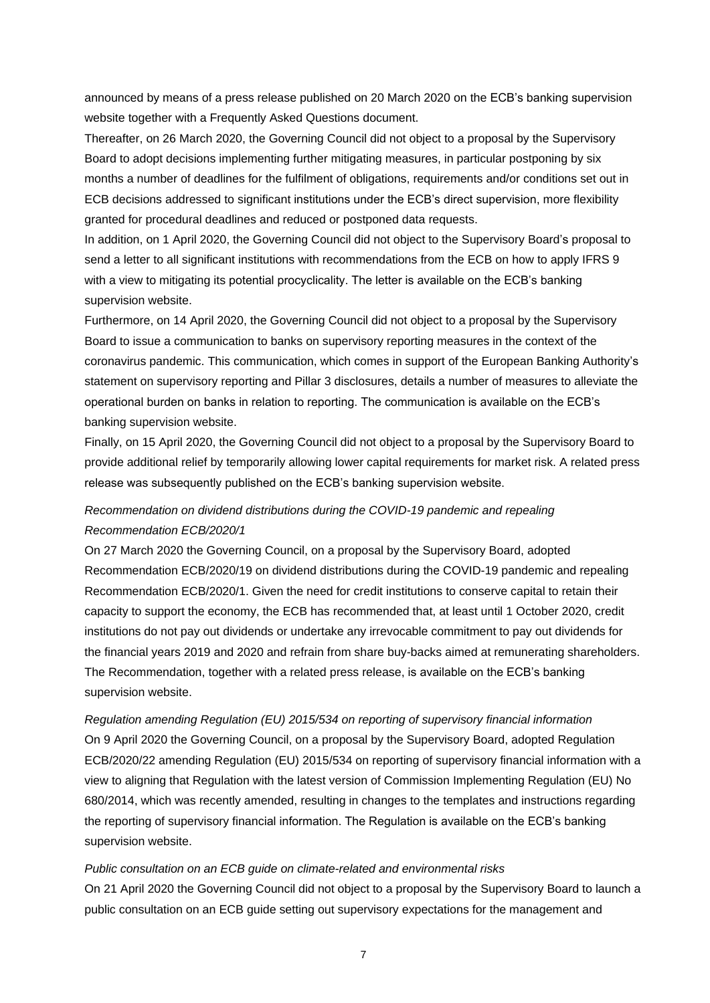announced by means of a press release published on 20 March 2020 on the ECB's banking supervision website together with a Frequently Asked Questions document.

Thereafter, on 26 March 2020, the Governing Council did not object to a proposal by the Supervisory Board to adopt decisions implementing further mitigating measures, in particular postponing by six months a number of deadlines for the fulfilment of obligations, requirements and/or conditions set out in ECB decisions addressed to significant institutions under the ECB's direct supervision, more flexibility granted for procedural deadlines and reduced or postponed data requests.

In addition, on 1 April 2020, the Governing Council did not object to the Supervisory Board's proposal to send a letter to all significant institutions with recommendations from the ECB on how to apply IFRS 9 with a view to mitigating its potential procyclicality. The letter is available on the ECB's banking supervision website.

Furthermore, on 14 April 2020, the Governing Council did not object to a proposal by the Supervisory Board to issue a communication to banks on supervisory reporting measures in the context of the coronavirus pandemic. This communication, which comes in support of the European Banking Authority's statement on supervisory reporting and Pillar 3 disclosures, details a number of measures to alleviate the operational burden on banks in relation to reporting. The communication is available on the ECB's banking supervision website.

Finally, on 15 April 2020, the Governing Council did not object to a proposal by the Supervisory Board to provide additional relief by temporarily allowing lower capital requirements for market risk. A related press release was subsequently published on the ECB's banking supervision website.

### *Recommendation on dividend distributions during the COVID-19 pandemic and repealing Recommendation ECB/2020/1*

On 27 March 2020 the Governing Council, on a proposal by the Supervisory Board, adopted Recommendation ECB/2020/19 on dividend distributions during the COVID-19 pandemic and repealing Recommendation ECB/2020/1. Given the need for credit institutions to conserve capital to retain their capacity to support the economy, the ECB has recommended that, at least until 1 October 2020, credit institutions do not pay out dividends or undertake any irrevocable commitment to pay out dividends for the financial years 2019 and 2020 and refrain from share buy-backs aimed at remunerating shareholders. The Recommendation, together with a related press release, is available on the ECB's banking supervision website.

*Regulation amending Regulation (EU) 2015/534 on reporting of supervisory financial information* On 9 April 2020 the Governing Council, on a proposal by the Supervisory Board, adopted Regulation ECB/2020/22 amending Regulation (EU) 2015/534 on reporting of supervisory financial information with a view to aligning that Regulation with the latest version of Commission Implementing Regulation (EU) No 680/2014, which was recently amended, resulting in changes to the templates and instructions regarding the reporting of supervisory financial information. The Regulation is available on the ECB's banking supervision website.

#### *Public consultation on an ECB guide on climate-related and environmental risks*

On 21 April 2020 the Governing Council did not object to a proposal by the Supervisory Board to launch a public consultation on an ECB guide setting out supervisory expectations for the management and